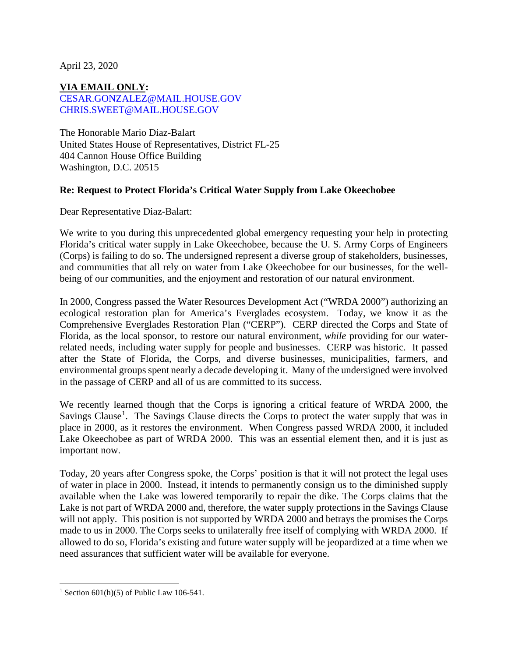April 23, 2020

**VIA EMAIL ONLY:** [CESAR.GONZALEZ@MAIL.HOUSE.GOV](mailto:cesar.gonzalez@mail.house.gov) [CHRIS.SWEET@MAIL.HOUSE.GOV](mailto:chris.sweet@mail.house.gov)

The Honorable Mario Diaz-Balart United States House of Representatives, District FL-25 404 Cannon House Office Building Washington, D.C. 20515

## **Re: Request to Protect Florida's Critical Water Supply from Lake Okeechobee**

Dear Representative Diaz-Balart:

We write to you during this unprecedented global emergency requesting your help in protecting Florida's critical water supply in Lake Okeechobee, because the U. S. Army Corps of Engineers (Corps) is failing to do so. The undersigned represent a diverse group of stakeholders, businesses, and communities that all rely on water from Lake Okeechobee for our businesses, for the wellbeing of our communities, and the enjoyment and restoration of our natural environment.

In 2000, Congress passed the Water Resources Development Act ("WRDA 2000") authorizing an ecological restoration plan for America's Everglades ecosystem. Today, we know it as the Comprehensive Everglades Restoration Plan ("CERP"). CERP directed the Corps and State of Florida, as the local sponsor, to restore our natural environment, *while* providing for our waterrelated needs, including water supply for people and businesses. CERP was historic. It passed after the State of Florida, the Corps, and diverse businesses, municipalities, farmers, and environmental groups spent nearly a decade developing it. Many of the undersigned were involved in the passage of CERP and all of us are committed to its success.

We recently learned though that the Corps is ignoring a critical feature of WRDA 2000, the Savings Clause<sup>[1](#page-0-0)</sup>. The Savings Clause directs the Corps to protect the water supply that was in place in 2000, as it restores the environment. When Congress passed WRDA 2000, it included Lake Okeechobee as part of WRDA 2000. This was an essential element then, and it is just as important now.

Today, 20 years after Congress spoke, the Corps' position is that it will not protect the legal uses of water in place in 2000. Instead, it intends to permanently consign us to the diminished supply available when the Lake was lowered temporarily to repair the dike. The Corps claims that the Lake is not part of WRDA 2000 and, therefore, the water supply protections in the Savings Clause will not apply. This position is not supported by WRDA 2000 and betrays the promises the Corps made to us in 2000. The Corps seeks to unilaterally free itself of complying with WRDA 2000. If allowed to do so, Florida's existing and future water supply will be jeopardized at a time when we need assurances that sufficient water will be available for everyone.

<span id="page-0-0"></span><sup>&</sup>lt;sup>1</sup> Section 601(h)(5) of Public Law 106-541.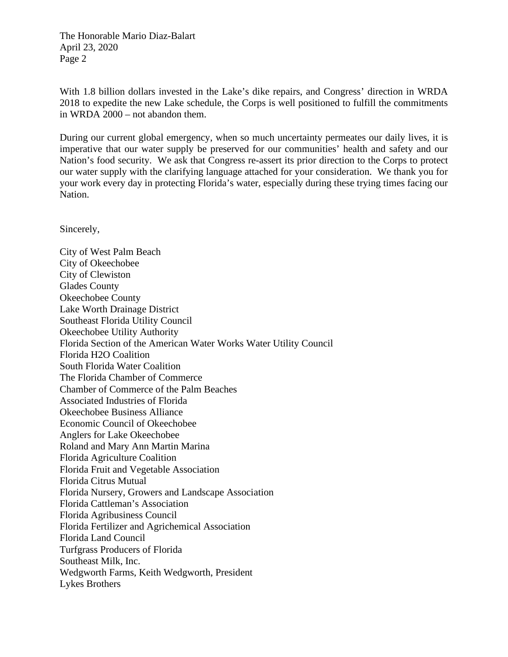The Honorable Mario Diaz-Balart April 23, 2020 Page 2

With 1.8 billion dollars invested in the Lake's dike repairs, and Congress' direction in WRDA 2018 to expedite the new Lake schedule, the Corps is well positioned to fulfill the commitments in WRDA 2000 – not abandon them.

During our current global emergency, when so much uncertainty permeates our daily lives, it is imperative that our water supply be preserved for our communities' health and safety and our Nation's food security. We ask that Congress re-assert its prior direction to the Corps to protect our water supply with the clarifying language attached for your consideration. We thank you for your work every day in protecting Florida's water, especially during these trying times facing our Nation.

Sincerely,

City of West Palm Beach City of Okeechobee City of Clewiston Glades County Okeechobee County Lake Worth Drainage District Southeast Florida Utility Council Okeechobee Utility Authority Florida Section of the American Water Works Water Utility Council Florida H2O Coalition South Florida Water Coalition The Florida Chamber of Commerce Chamber of Commerce of the Palm Beaches Associated Industries of Florida Okeechobee Business Alliance Economic Council of Okeechobee Anglers for Lake Okeechobee Roland and Mary Ann Martin Marina Florida Agriculture Coalition Florida Fruit and Vegetable Association Florida Citrus Mutual Florida Nursery, Growers and Landscape Association Florida Cattleman's Association Florida Agribusiness Council Florida Fertilizer and Agrichemical Association Florida Land Council Turfgrass Producers of Florida Southeast Milk, Inc. Wedgworth Farms, Keith Wedgworth, President Lykes Brothers